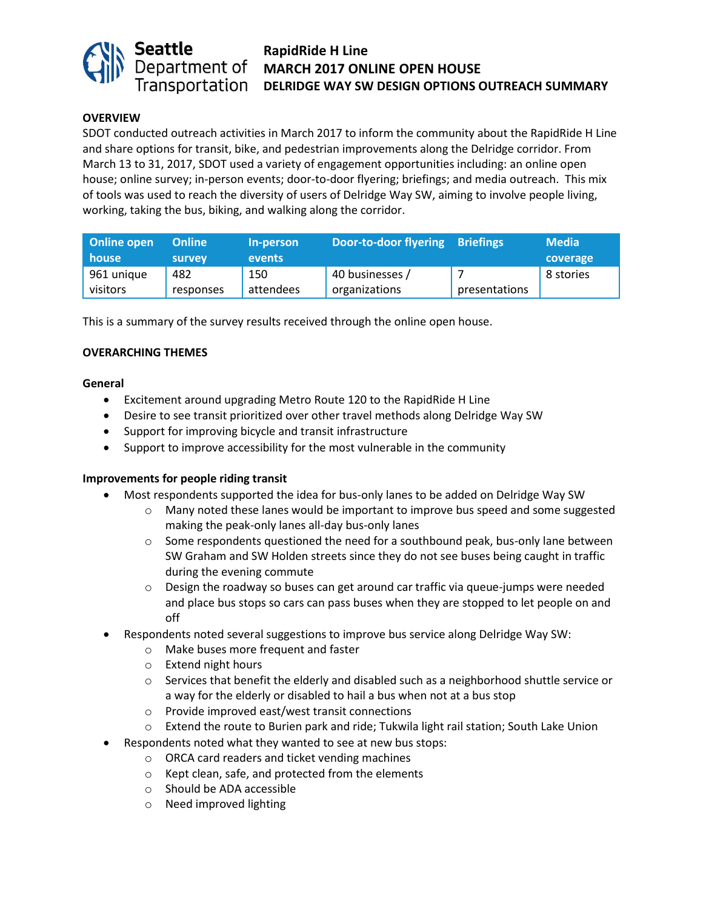

# **RapidRide H Line MARCH 2017 ONLINE OPEN HOUSE DELRIDGE WAY SW DESIGN OPTIONS OUTREACH SUMMARY**

# **OVERVIEW**

SDOT conducted outreach activities in March 2017 to inform the community about the RapidRide H Line and share options for transit, bike, and pedestrian improvements along the Delridge corridor. From March 13 to 31, 2017, SDOT used a variety of engagement opportunities including: an online open house; online survey; in-person events; door-to-door flyering; briefings; and media outreach. This mix of tools was used to reach the diversity of users of Delridge Way SW, aiming to involve people living, working, taking the bus, biking, and walking along the corridor.

| Online open<br>house   | <b>Online</b><br>survey | In-person<br>events | Door-to-door flyering Briefings  |               | <b>Media</b><br>coverage |
|------------------------|-------------------------|---------------------|----------------------------------|---------------|--------------------------|
| 961 unique<br>visitors | 482<br>responses        | 150<br>attendees    | 40 businesses /<br>organizations | presentations | 8 stories                |

This is a summary of the survey results received through the online open house.

#### **OVERARCHING THEMES**

#### **General**

- Excitement around upgrading Metro Route 120 to the RapidRide H Line
- Desire to see transit prioritized over other travel methods along Delridge Way SW
- Support for improving bicycle and transit infrastructure
- Support to improve accessibility for the most vulnerable in the community

# **Improvements for people riding transit**

- Most respondents supported the idea for bus-only lanes to be added on Delridge Way SW
	- $\circ$  Many noted these lanes would be important to improve bus speed and some suggested making the peak-only lanes all-day bus-only lanes
	- $\circ$  Some respondents questioned the need for a southbound peak, bus-only lane between SW Graham and SW Holden streets since they do not see buses being caught in traffic during the evening commute
	- $\circ$  Design the roadway so buses can get around car traffic via queue-jumps were needed and place bus stops so cars can pass buses when they are stopped to let people on and off
- Respondents noted several suggestions to improve bus service along Delridge Way SW:
	- o Make buses more frequent and faster
	- o Extend night hours
	- $\circ$  Services that benefit the elderly and disabled such as a neighborhood shuttle service or a way for the elderly or disabled to hail a bus when not at a bus stop
	- o Provide improved east/west transit connections
	- o Extend the route to Burien park and ride; Tukwila light rail station; South Lake Union
- Respondents noted what they wanted to see at new bus stops:
	- o ORCA card readers and ticket vending machines
	- o Kept clean, safe, and protected from the elements
	- o Should be ADA accessible
	- o Need improved lighting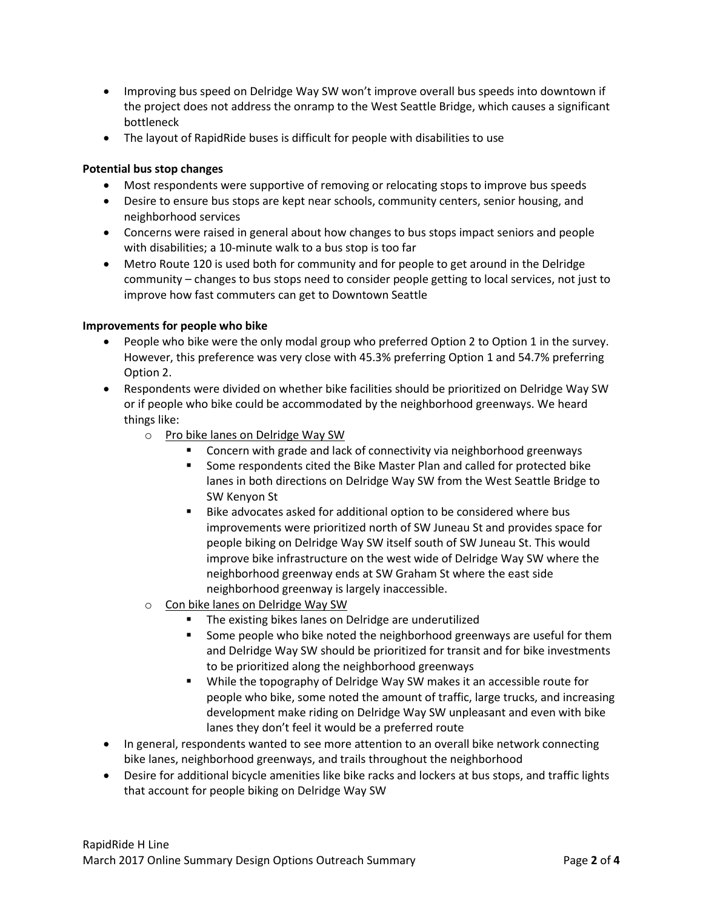- Improving bus speed on Delridge Way SW won't improve overall bus speeds into downtown if the project does not address the onramp to the West Seattle Bridge, which causes a significant bottleneck
- The layout of RapidRide buses is difficult for people with disabilities to use

# **Potential bus stop changes**

- Most respondents were supportive of removing or relocating stops to improve bus speeds
- Desire to ensure bus stops are kept near schools, community centers, senior housing, and neighborhood services
- Concerns were raised in general about how changes to bus stops impact seniors and people with disabilities; a 10-minute walk to a bus stop is too far
- Metro Route 120 is used both for community and for people to get around in the Delridge community – changes to bus stops need to consider people getting to local services, not just to improve how fast commuters can get to Downtown Seattle

# **Improvements for people who bike**

- People who bike were the only modal group who preferred Option 2 to Option 1 in the survey. However, this preference was very close with 45.3% preferring Option 1 and 54.7% preferring Option 2.
- Respondents were divided on whether bike facilities should be prioritized on Delridge Way SW or if people who bike could be accommodated by the neighborhood greenways. We heard things like:
	- o Pro bike lanes on Delridge Way SW
		- Concern with grade and lack of connectivity via neighborhood greenways
		- Some respondents cited the Bike Master Plan and called for protected bike lanes in both directions on Delridge Way SW from the West Seattle Bridge to SW Kenyon St
		- Bike advocates asked for additional option to be considered where bus improvements were prioritized north of SW Juneau St and provides space for people biking on Delridge Way SW itself south of SW Juneau St. This would improve bike infrastructure on the west wide of Delridge Way SW where the neighborhood greenway ends at SW Graham St where the east side neighborhood greenway is largely inaccessible.
	- o Con bike lanes on Delridge Way SW
		- The existing bikes lanes on Delridge are underutilized
		- Some people who bike noted the neighborhood greenways are useful for them and Delridge Way SW should be prioritized for transit and for bike investments to be prioritized along the neighborhood greenways
		- While the topography of Delridge Way SW makes it an accessible route for people who bike, some noted the amount of traffic, large trucks, and increasing development make riding on Delridge Way SW unpleasant and even with bike lanes they don't feel it would be a preferred route
- In general, respondents wanted to see more attention to an overall bike network connecting bike lanes, neighborhood greenways, and trails throughout the neighborhood
- Desire for additional bicycle amenities like bike racks and lockers at bus stops, and traffic lights that account for people biking on Delridge Way SW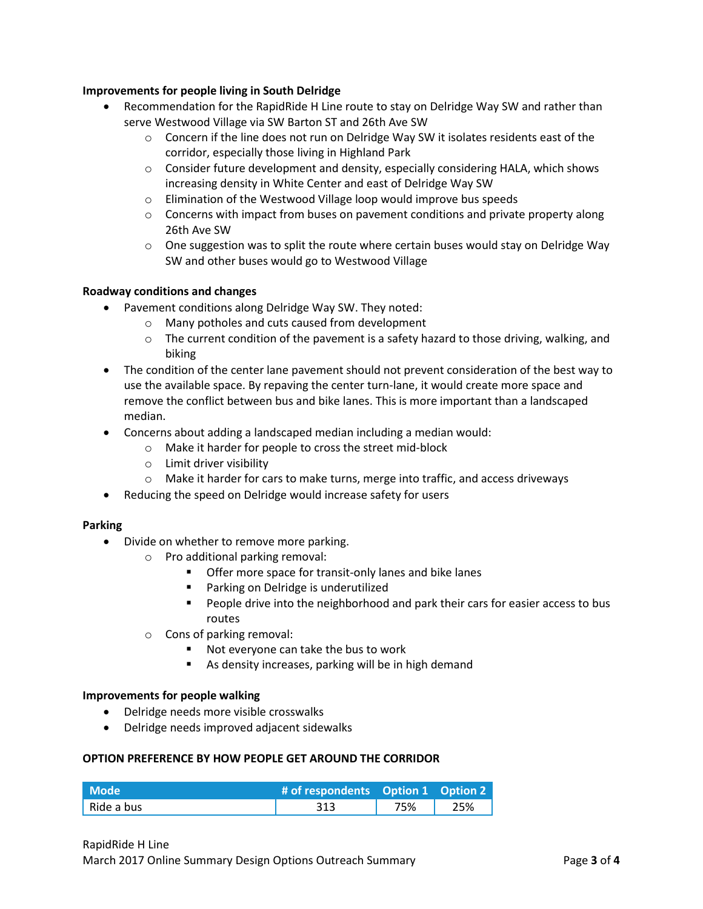# **Improvements for people living in South Delridge**

- Recommendation for the RapidRide H Line route to stay on Delridge Way SW and rather than serve Westwood Village via SW Barton ST and 26th Ave SW
	- $\circ$  Concern if the line does not run on Delridge Way SW it isolates residents east of the corridor, especially those living in Highland Park
	- $\circ$  Consider future development and density, especially considering HALA, which shows increasing density in White Center and east of Delridge Way SW
	- o Elimination of the Westwood Village loop would improve bus speeds
	- $\circ$  Concerns with impact from buses on pavement conditions and private property along 26th Ave SW
	- $\circ$  One suggestion was to split the route where certain buses would stay on Delridge Way SW and other buses would go to Westwood Village

#### **Roadway conditions and changes**

- Pavement conditions along Delridge Way SW. They noted:
	- o Many potholes and cuts caused from development
	- $\circ$  The current condition of the pavement is a safety hazard to those driving, walking, and biking
- The condition of the center lane pavement should not prevent consideration of the best way to use the available space. By repaving the center turn-lane, it would create more space and remove the conflict between bus and bike lanes. This is more important than a landscaped median.
- Concerns about adding a landscaped median including a median would:
	- o Make it harder for people to cross the street mid-block
	- o Limit driver visibility
	- o Make it harder for cars to make turns, merge into traffic, and access driveways
- Reducing the speed on Delridge would increase safety for users

#### **Parking**

- Divide on whether to remove more parking.
	- o Pro additional parking removal:
		- Offer more space for transit-only lanes and bike lanes
		- Parking on Delridge is underutilized
		- People drive into the neighborhood and park their cars for easier access to bus routes
	- o Cons of parking removal:
		- Not everyone can take the bus to work
		- As density increases, parking will be in high demand

#### **Improvements for people walking**

- Delridge needs more visible crosswalks
- Delridge needs improved adjacent sidewalks

#### **OPTION PREFERENCE BY HOW PEOPLE GET AROUND THE CORRIDOR**

| Mode <b>\</b> | # of respondents Option 1 Option 2 |     |     |
|---------------|------------------------------------|-----|-----|
| 'Ride a bus   | 313                                | 75% | 25% |